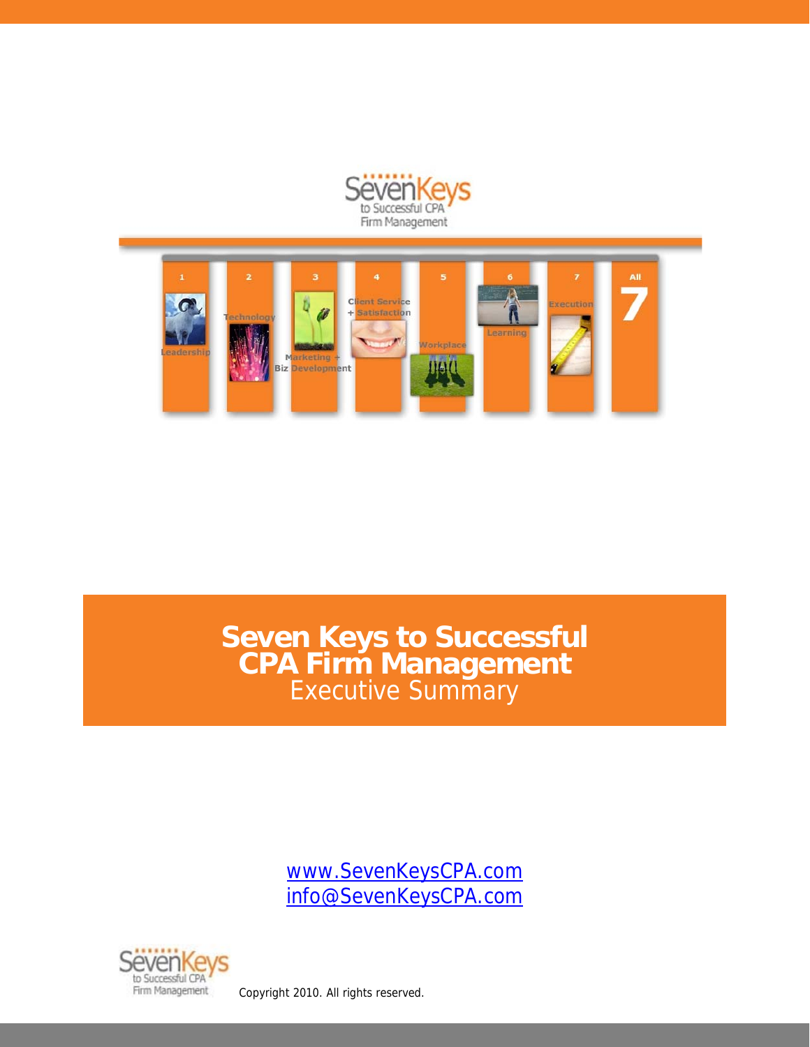



**Seven Keys to Successful CPA Firm Management**  Executive Summary

> www.SevenKeysCPA.com info@SevenKeysCPA.com

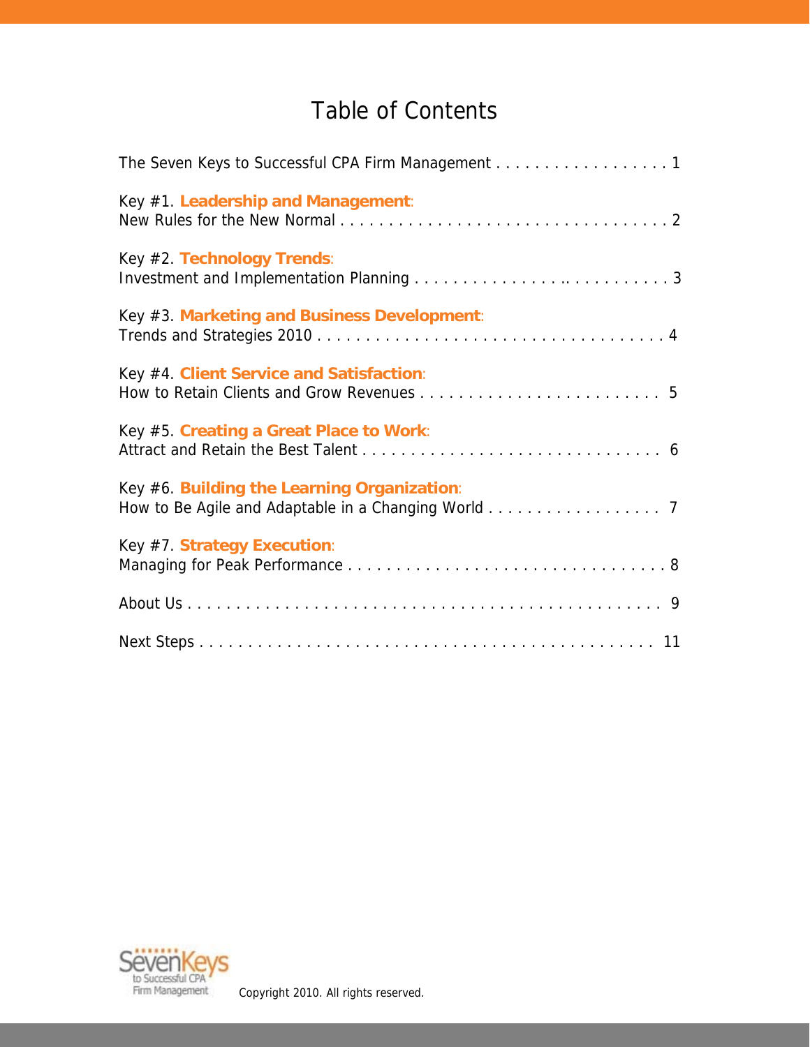# Table of Contents

| The Seven Keys to Successful CPA Firm Management 1                                                 |
|----------------------------------------------------------------------------------------------------|
| Key #1. Leadership and Management:                                                                 |
| Key #2. Technology Trends:                                                                         |
| Key #3. Marketing and Business Development:                                                        |
| Key #4. Client Service and Satisfaction:                                                           |
| Key #5. Creating a Great Place to Work:                                                            |
| Key #6. Building the Learning Organization:<br>How to Be Agile and Adaptable in a Changing World 7 |
| Key #7. Strategy Execution:                                                                        |
|                                                                                                    |
|                                                                                                    |

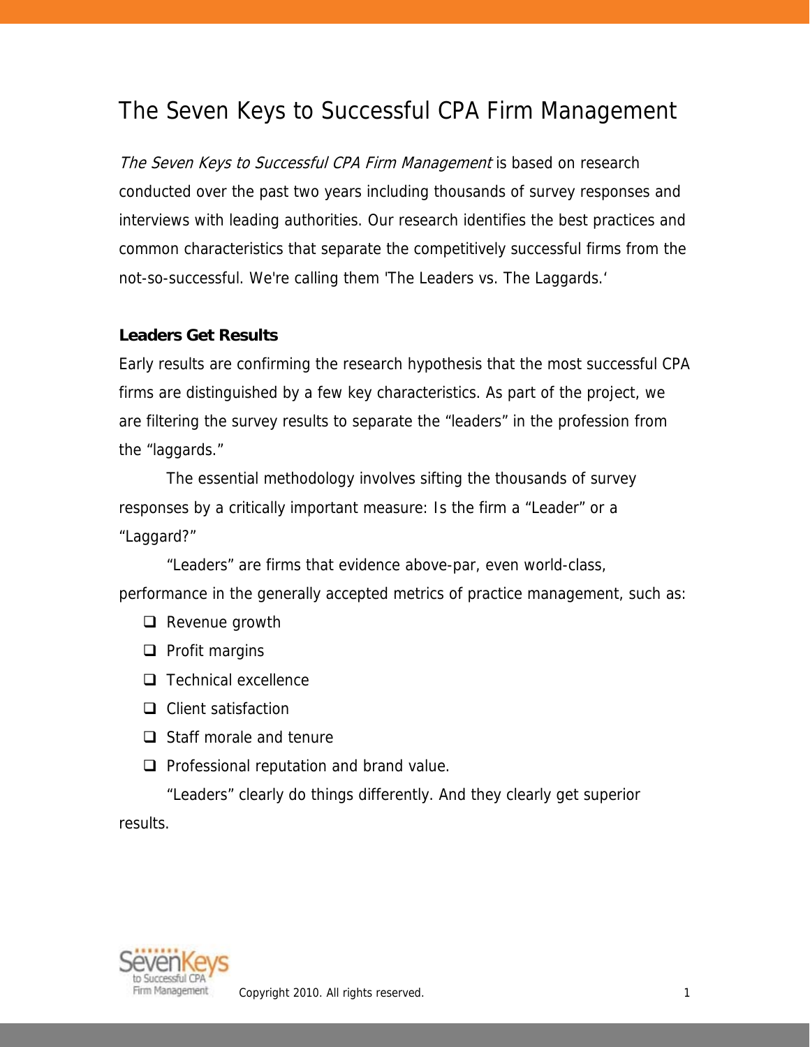### The Seven Keys to Successful CPA Firm Management

The Seven Keys to Successful CPA Firm Management is based on research conducted over the past two years including thousands of survey responses and interviews with leading authorities. Our research identifies the best practices and common characteristics that separate the competitively successful firms from the not-so-successful. We're calling them 'The Leaders vs. The Laggards.'

#### **Leaders Get Results**

Early results are confirming the research hypothesis that the most successful CPA firms are distinguished by a few key characteristics. As part of the project, we are filtering the survey results to separate the "leaders" in the profession from the "laggards."

 The essential methodology involves sifting the thousands of survey responses by a critically important measure: Is the firm a "Leader" or a "Laggard?"

"Leaders" are firms that evidence above-par, even world-class, performance in the generally accepted metrics of practice management, such as:

- $\Box$  Revenue growth
- $\Box$  Profit margins
- $\Box$  Technical excellence
- □ Client satisfaction
- $\Box$  Staff morale and tenure
- $\Box$  Professional reputation and brand value.

"Leaders" clearly do things differently. And they clearly get superior results.

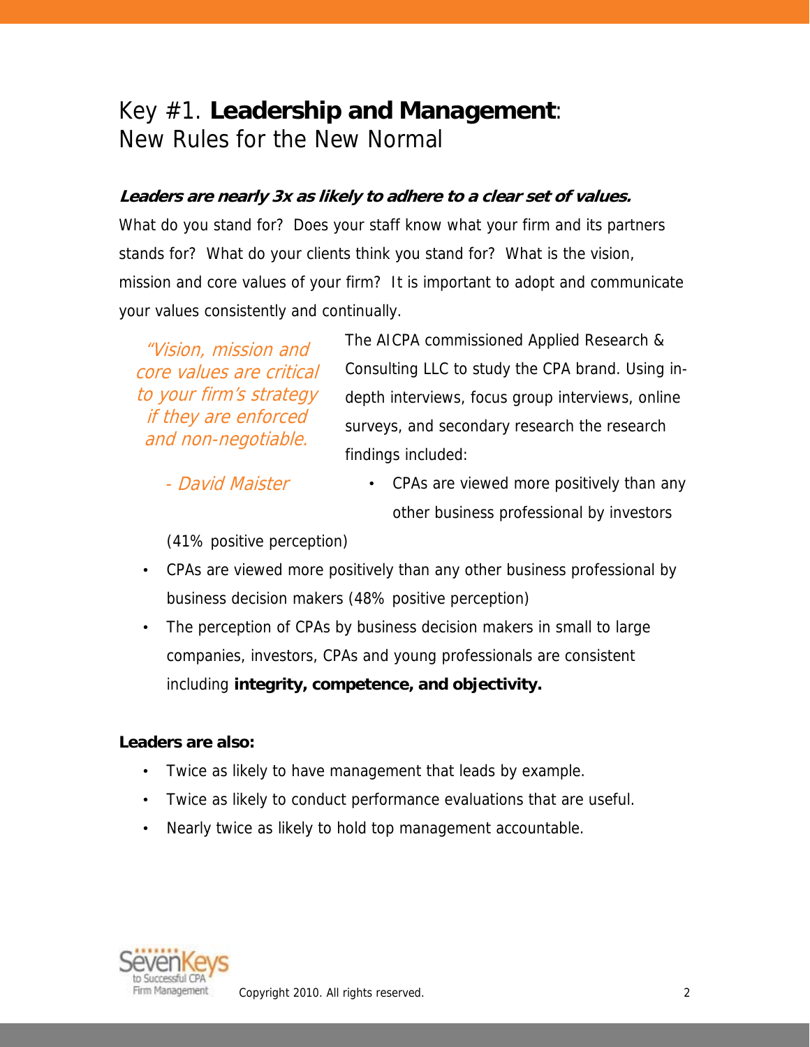## Key #1. **Leadership and Management**: New Rules for the New Normal

### **Leaders are nearly 3x as likely to adhere to a clear set of values.**

What do you stand for? Does your staff know what your firm and its partners stands for? What do your clients think you stand for? What is the vision, mission and core values of your firm? It is important to adopt and communicate your values consistently and continually.

"Vision, mission and core values are critical to your firm's strategy if they are enforced and non-negotiable.

The AICPA commissioned Applied Research & Consulting LLC to study the CPA brand. Using indepth interviews, focus group interviews, online surveys, and secondary research the research findings included:

- David Maister

• CPAs are viewed more positively than any other business professional by investors

(41% positive perception)

- CPAs are viewed more positively than any other business professional by business decision makers (48% positive perception)
- The perception of CPAs by business decision makers in small to large companies, investors, CPAs and young professionals are consistent including **integrity, competence, and objectivity.**

#### **Leaders are also:**

- Twice as likely to have management that leads by example.
- Twice as likely to conduct performance evaluations that are useful.
- Nearly twice as likely to hold top management accountable.

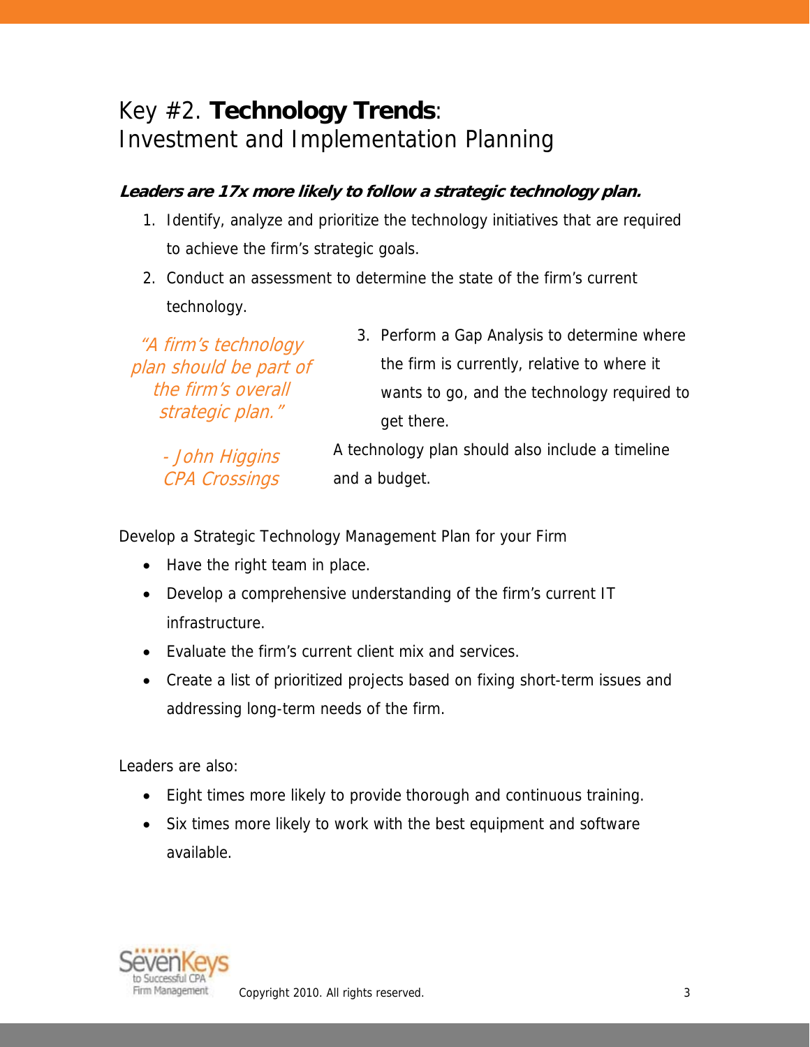## Key #2. **Technology Trends**: Investment and Implementation Planning

### **Leaders are 17x more likely to follow a strategic technology plan.**

- 1. Identify, analyze and prioritize the technology initiatives that are required to achieve the firm's strategic goals.
- 2. Conduct an assessment to determine the state of the firm's current technology.

"A firm's technology plan should be part of the firm's overall strategic plan." - John Higgins CPA Crossings 3. Perform a Gap Analysis to determine where the firm is currently, relative to where it wants to go, and the technology required to get there. A technology plan should also include a timeline and a budget.

Develop a Strategic Technology Management Plan for your Firm

- Have the right team in place.
- Develop a comprehensive understanding of the firm's current IT infrastructure.
- Evaluate the firm's current client mix and services.
- Create a list of prioritized projects based on fixing short-term issues and addressing long-term needs of the firm.

Leaders are also:

- Eight times more likely to provide thorough and continuous training.
- Six times more likely to work with the best equipment and software available.

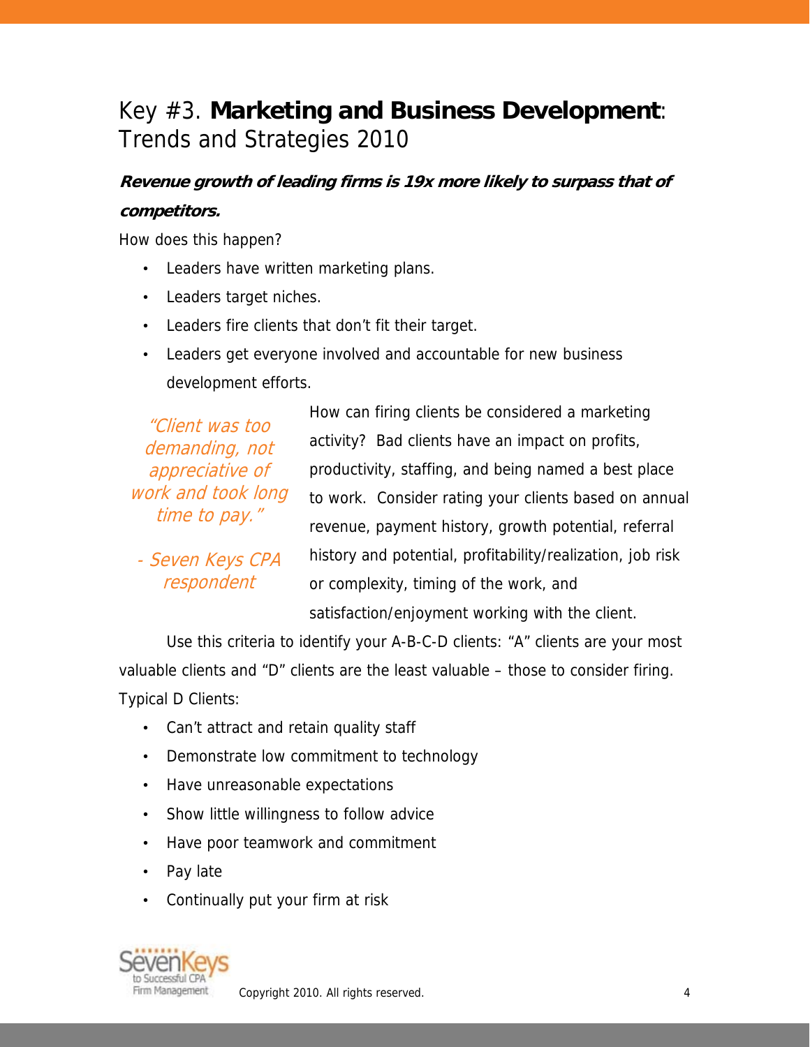# Key #3. **Marketing and Business Development**: Trends and Strategies 2010

### **Revenue growth of leading firms is 19x more likely to surpass that of competitors.**

How does this happen?

- Leaders have written marketing plans.
- Leaders target niches.
- Leaders fire clients that don't fit their target.
- Leaders get everyone involved and accountable for new business development efforts.

"Client was too demanding, not appreciative of work and took long time to pay."

- Seven Keys CPA respondent

How can firing clients be considered a marketing activity? Bad clients have an impact on profits, productivity, staffing, and being named a best place to work. Consider rating your clients based on annual revenue, payment history, growth potential, referral history and potential, profitability/realization, job risk or complexity, timing of the work, and satisfaction/enjoyment working with the client.

 Use this criteria to identify your A-B-C-D clients: "A" clients are your most valuable clients and "D" clients are the least valuable – those to consider firing. Typical D Clients:

- Can't attract and retain quality staff
- Demonstrate low commitment to technology
- Have unreasonable expectations
- Show little willingness to follow advice
- Have poor teamwork and commitment
- Pay late
- Continually put your firm at risk

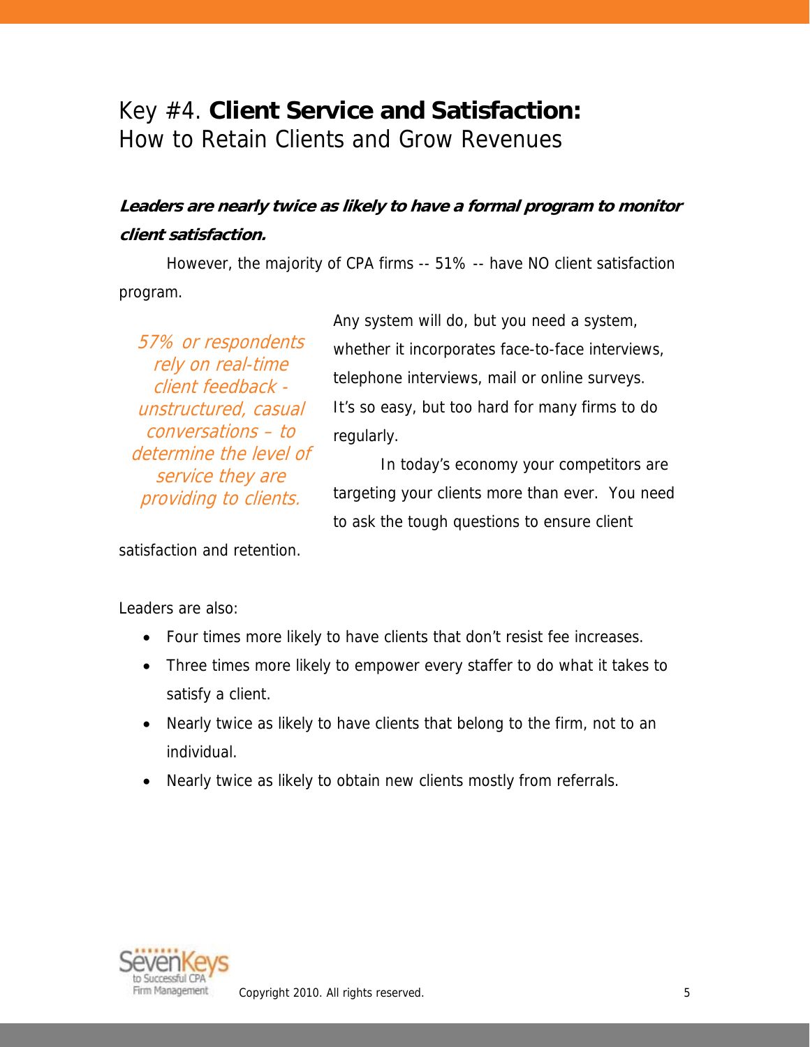## Key #4. **Client Service and Satisfaction:**  How to Retain Clients and Grow Revenues

### **Leaders are nearly twice as likely to have a formal program to monitor client satisfaction.**

However, the majority of CPA firms -- 51% -- have NO client satisfaction program.

57% or respondents rely on real-time client feedback unstructured, casual conversations – to determine the level of service they are providing to clients.

Any system will do, but you need a system, whether it incorporates face-to-face interviews, telephone interviews, mail or online surveys. It's so easy, but too hard for many firms to do regularly.

In today's economy your competitors are targeting your clients more than ever. You need to ask the tough questions to ensure client

satisfaction and retention.

Leaders are also:

- Four times more likely to have clients that don't resist fee increases.
- Three times more likely to empower every staffer to do what it takes to satisfy a client.
- Nearly twice as likely to have clients that belong to the firm, not to an individual.
- Nearly twice as likely to obtain new clients mostly from referrals.

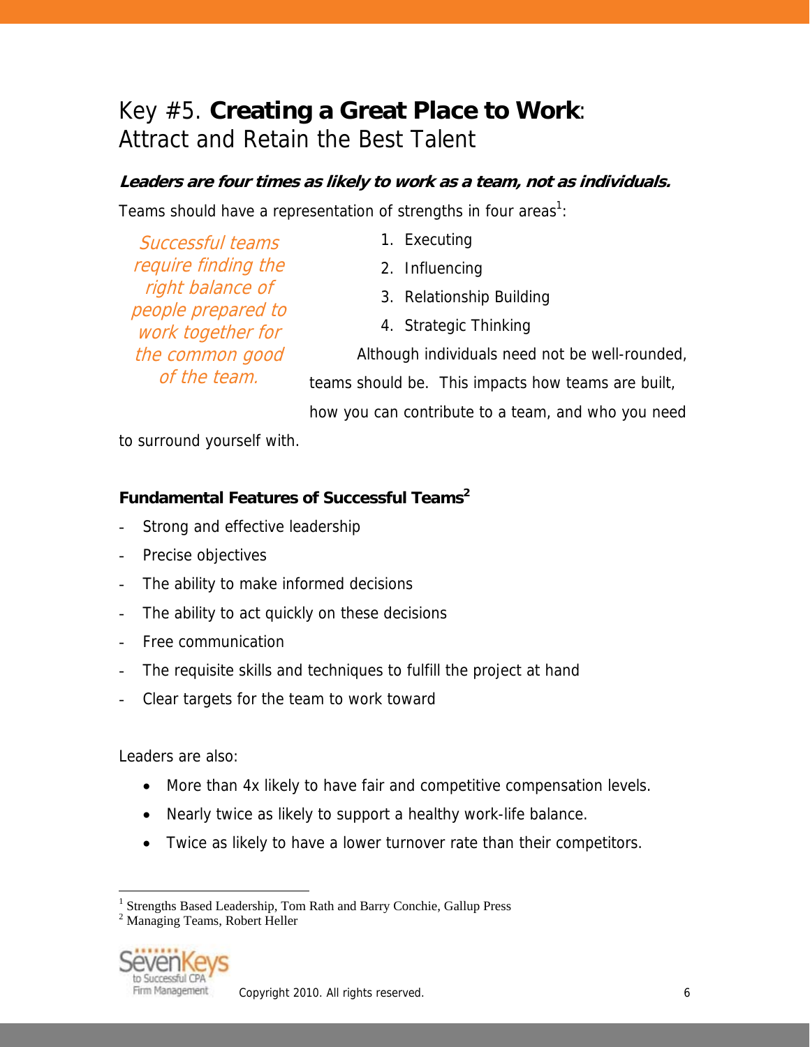# Key #5. **Creating a Great Place to Work**: Attract and Retain the Best Talent

### **Leaders are four times as likely to work as a team, not as individuals.**

Teams should have a representation of strengths in four areas<sup>1</sup>:

| Successful teams                       | 1. Executing                                       |
|----------------------------------------|----------------------------------------------------|
| require finding the                    | 2. Influencing                                     |
| right balance of<br>people prepared to | 3. Relationship Building                           |
| work together for                      | 4. Strategic Thinking                              |
| the common good                        | Although individuals need not be well-rounded,     |
| of the team.                           | teams should be. This impacts how teams are built, |
|                                        | how you can contribute to a team, and who you need |

to surround yourself with.

### **Fundamental Features of Successful Teams2**

- Strong and effective leadership
- Precise objectives
- The ability to make informed decisions
- The ability to act quickly on these decisions
- Free communication
- The requisite skills and techniques to fulfill the project at hand
- Clear targets for the team to work toward

Leaders are also:

- More than 4x likely to have fair and competitive compensation levels.
- Nearly twice as likely to support a healthy work-life balance.
- Twice as likely to have a lower turnover rate than their competitors.

<sup>2</sup> Managing Teams, Robert Heller



1

<sup>&</sup>lt;sup>1</sup> Strengths Based Leadership, Tom Rath and Barry Conchie, Gallup Press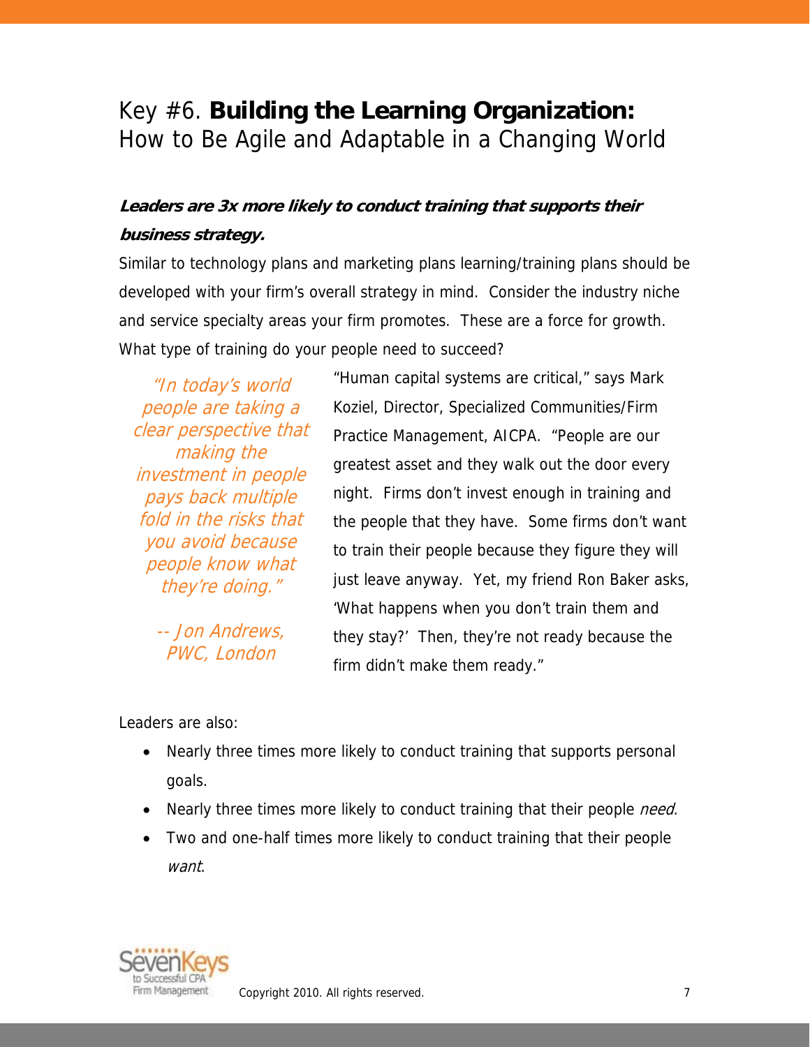# Key #6. **Building the Learning Organization:**  How to Be Agile and Adaptable in a Changing World

### **Leaders are 3x more likely to conduct training that supports their business strategy.**

Similar to technology plans and marketing plans learning/training plans should be developed with your firm's overall strategy in mind. Consider the industry niche and service specialty areas your firm promotes. These are a force for growth. What type of training do your people need to succeed?

"In today's world people are taking a clear perspective that making the investment in people pays back multiple fold in the risks that you avoid because people know what they're doing."

> -- Jon Andrews, PWC, London

"Human capital systems are critical," says Mark Koziel, Director, Specialized Communities/Firm Practice Management, AICPA. "People are our greatest asset and they walk out the door every night. Firms don't invest enough in training and the people that they have. Some firms don't want to train their people because they figure they will just leave anyway. Yet, my friend Ron Baker asks, 'What happens when you don't train them and they stay?' Then, they're not ready because the firm didn't make them ready."

Leaders are also:

- Nearly three times more likely to conduct training that supports personal goals.
- Nearly three times more likely to conduct training that their people *need*.
- Two and one-half times more likely to conduct training that their people want.



Copyright 2010. All rights reserved. The contract of the contract of the contract of the contract of the contract of the contract of the contract of the contract of the contract of the contract of the contract of the contr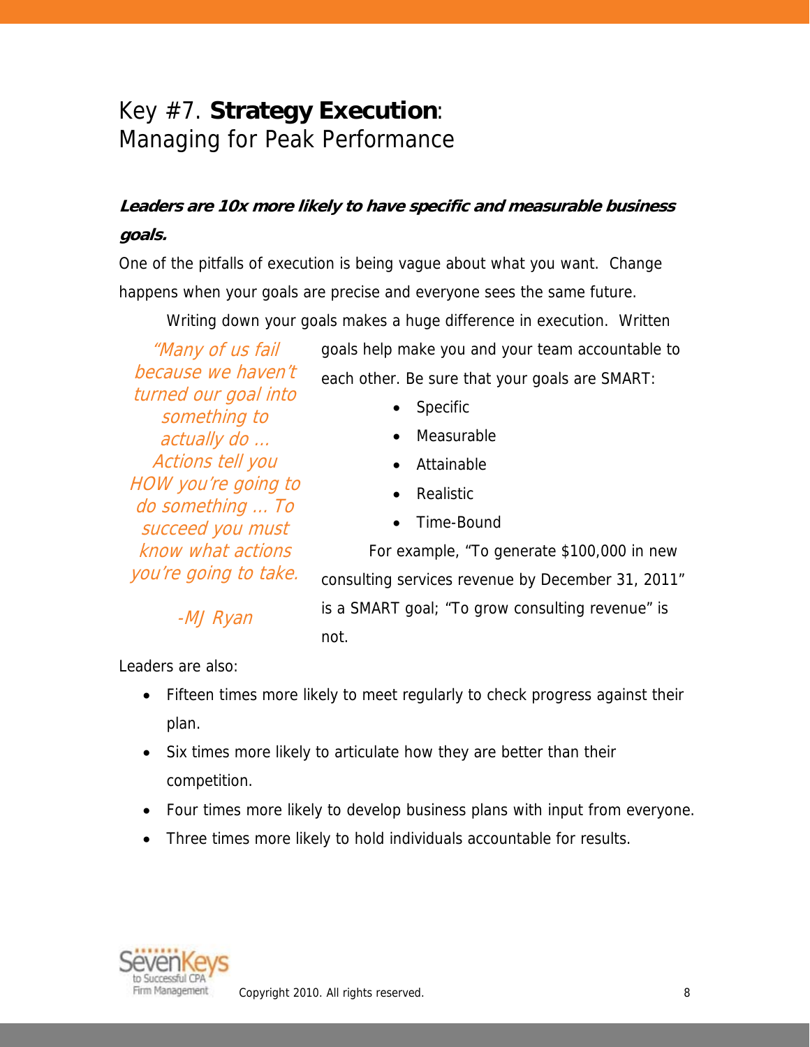# Key #7. **Strategy Execution**: Managing for Peak Performance

### **Leaders are 10x more likely to have specific and measurable business goals.**

One of the pitfalls of execution is being vague about what you want. Change happens when your goals are precise and everyone sees the same future.

Writing down your goals makes a huge difference in execution. Written

"Many of us fail because we haven't turned our goal into something to actually do … Actions tell you HOW you're going to do something … To succeed you must know what actions you're going to take.

-MJ Ryan

goals help make you and your team accountable to each other. Be sure that your goals are SMART:

- **Specific**
- Measurable
- Attainable
- Realistic
- Time-Bound

For example, "To generate \$100,000 in new consulting services revenue by December 31, 2011" is a SMART goal; "To grow consulting revenue" is not.

Leaders are also:

- Fifteen times more likely to meet regularly to check progress against their plan.
- Six times more likely to articulate how they are better than their competition.
- Four times more likely to develop business plans with input from everyone.
- Three times more likely to hold individuals accountable for results.

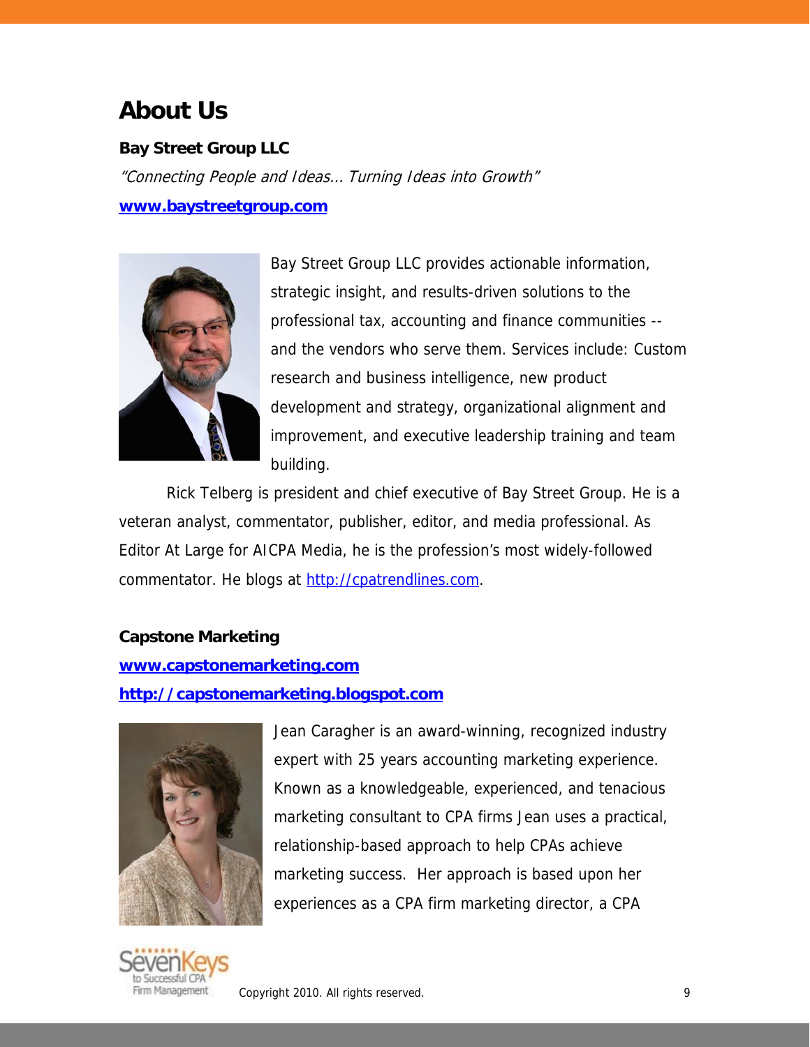## **About Us**

### **Bay Street Group LLC**

"Connecting People and Ideas… Turning Ideas into Growth" **www.baystreetgroup.com**



Bay Street Group LLC provides actionable information, strategic insight, and results-driven solutions to the professional tax, accounting and finance communities - and the vendors who serve them. Services include: Custom research and business intelligence, new product development and strategy, organizational alignment and improvement, and executive leadership training and team building.

Rick Telberg is president and chief executive of Bay Street Group. He is a veteran analyst, commentator, publisher, editor, and media professional. As Editor At Large for AICPA Media, he is the profession's most widely-followed commentator. He blogs at http://cpatrendlines.com.

#### **Capstone Marketing**

#### **www.capstonemarketing.com**

#### **http://capstonemarketing.blogspot.com**



Jean Caragher is an award-winning, recognized industry expert with 25 years accounting marketing experience. Known as a knowledgeable, experienced, and tenacious marketing consultant to CPA firms Jean uses a practical, relationship-based approach to help CPAs achieve marketing success. Her approach is based upon her experiences as a CPA firm marketing director, a CPA

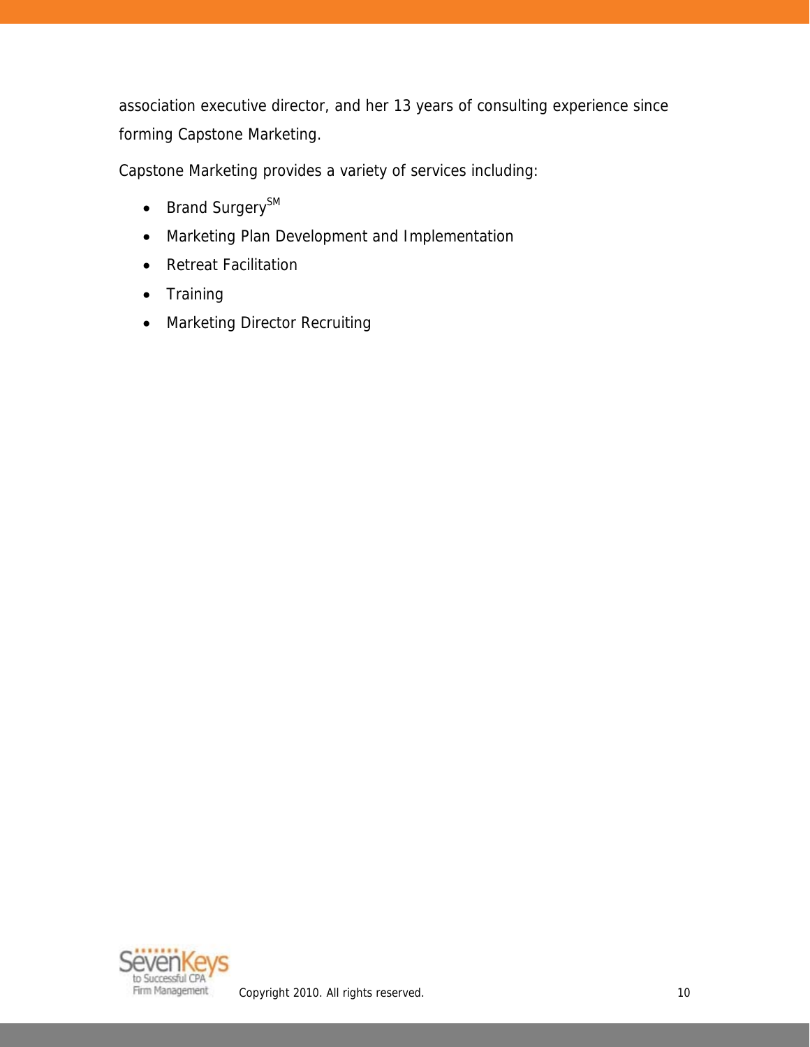association executive director, and her 13 years of consulting experience since forming Capstone Marketing.

Capstone Marketing provides a variety of services including:

- Brand Surgery<sup>SM</sup>
- Marketing Plan Development and Implementation
- Retreat Facilitation
- Training
- Marketing Director Recruiting